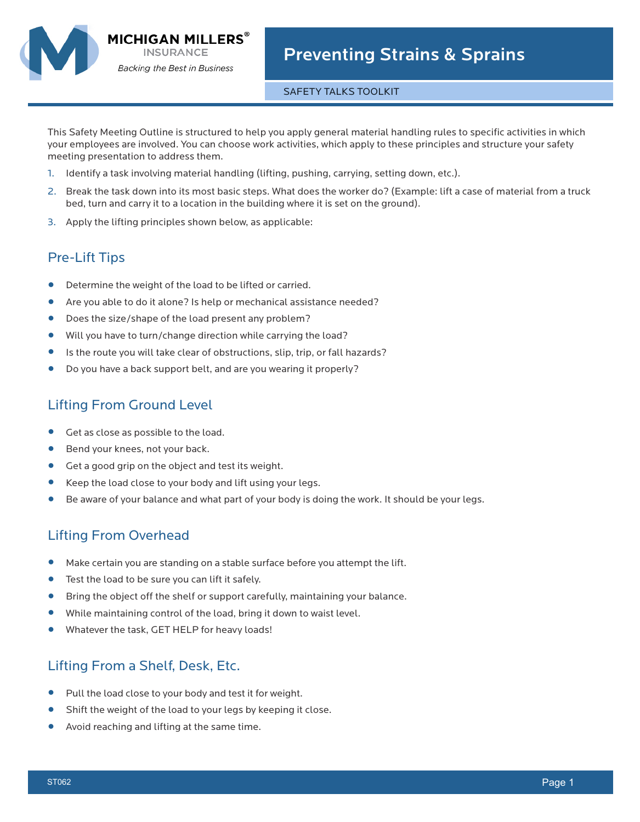

#### SAFETY TALKS TOOLKIT

This Safety Meeting Outline is structured to help you apply general material handling rules to specific activities in which your employees are involved. You can choose work activities, which apply to these principles and structure your safety meeting presentation to address them.

- 1. Identify a task involving material handling (lifting, pushing, carrying, setting down, etc.).
- 2. Break the task down into its most basic steps. What does the worker do? (Example: lift a case of material from a truck bed, turn and carry it to a location in the building where it is set on the ground).
- 3. Apply the lifting principles shown below, as applicable:

# Pre-Lift Tips

- Determine the weight of the load to be lifted or carried.<br>• Are you able to do it alone<sup>2</sup> Is help or mechanical assis
- **•** Are you able to do it alone? Is help or mechanical assistance needed?
- Does the size/shape of the load present any problem?<br>• Will you have to turn/change direction while carrying the
- **•** Will you have to turn/change direction while carrying the load?
- **•** Is the route you will take clear of obstructions, slip, trip, or fall hazards?
- **•** Do you have a back support belt, and are you wearing it properly?

# Lifting From Ground Level

- **•** Get as close as possible to the load.
- **•** Bend your knees, not your back.<br>• Get a good grip on the object an
- **•** Get a good grip on the object and test its weight.
- **•** Keep the load close to your body and lift using your legs.
- **•** Be aware of your balance and what part of your body is doing the work. It should be your legs.

#### Lifting From Overhead

- **•** Make certain you are standing on a stable surface before you attempt the lift.<br>• Test the load to be sure you can lift it safely.
- Test the load to be sure you can lift it safely.<br>• Bring the object off the shelf or support care
- **•** Bring the object off the shelf or support carefully, maintaining your balance.
- **•** While maintaining control of the load, bring it down to waist level.
- **•** Whatever the task, GET HELP for heavy loads!

# Lifting From a Shelf, Desk, Etc.

- **•** Pull the load close to your body and test it for weight.
- **•** Shift the weight of the load to your legs by keeping it close.
- **•** Avoid reaching and lifting at the same time.